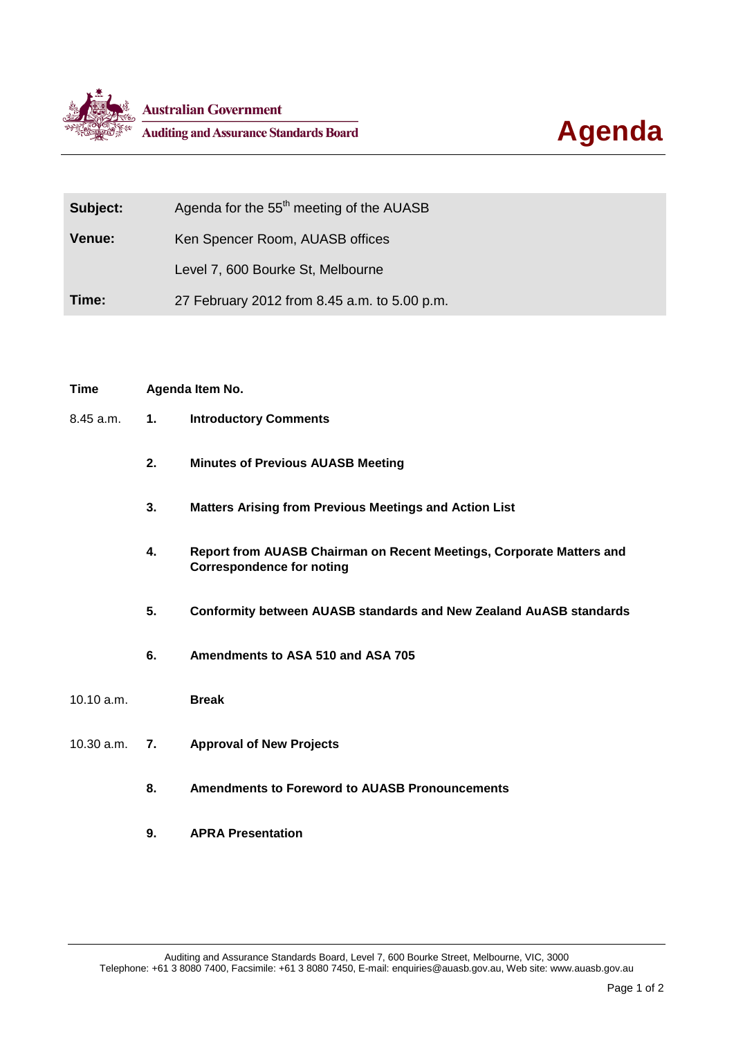



| Subject:      | Agenda for the 55 <sup>th</sup> meeting of the AUASB |
|---------------|------------------------------------------------------|
| <b>Venue:</b> | Ken Spencer Room, AUASB offices                      |
|               | Level 7, 600 Bourke St, Melbourne                    |
| Time:         | 27 February 2012 from 8.45 a.m. to 5.00 p.m.         |

## **Time Agenda Item No.**

- 8.45 a.m. **1. Introductory Comments**
	- **2. Minutes of Previous AUASB Meeting**
	- **3. Matters Arising from Previous Meetings and Action List**
	- **4. Report from AUASB Chairman on Recent Meetings, Corporate Matters and Correspondence for noting**
	- **5. Conformity between AUASB standards and New Zealand AuASB standards**
	- **6. Amendments to ASA 510 and ASA 705**

## 10.10 a.m. **Break**

- 10.30 a.m. **7. Approval of New Projects**
	- **8. Amendments to Foreword to AUASB Pronouncements**
	- **9. APRA Presentation**